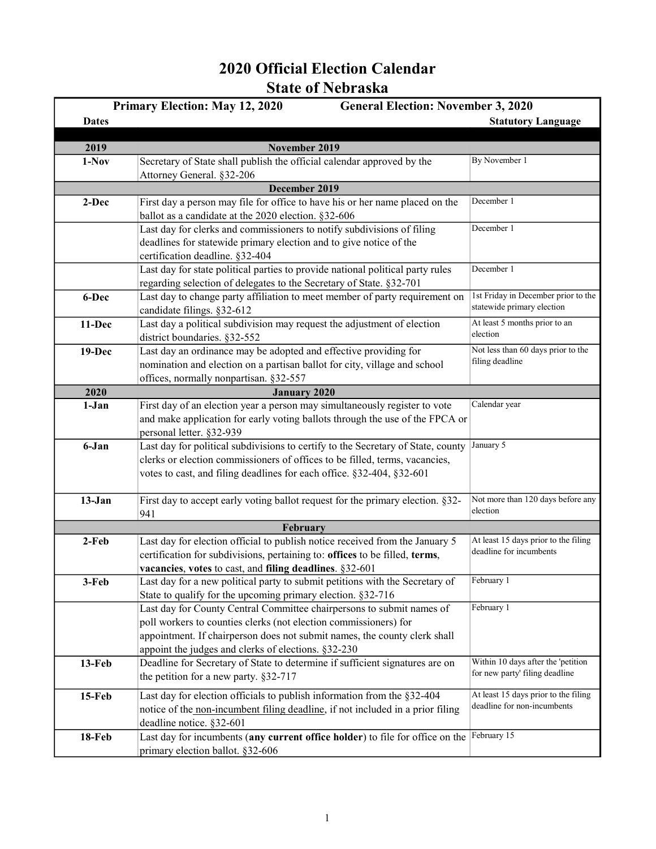| DIAIT VI INTIHASKA                                                                 |                                                                                                                               |                                      |  |
|------------------------------------------------------------------------------------|-------------------------------------------------------------------------------------------------------------------------------|--------------------------------------|--|
| <b>Primary Election: May 12, 2020</b><br><b>General Election: November 3, 2020</b> |                                                                                                                               |                                      |  |
| <b>Dates</b>                                                                       |                                                                                                                               | <b>Statutory Language</b>            |  |
|                                                                                    |                                                                                                                               |                                      |  |
| 2019                                                                               | November 2019                                                                                                                 |                                      |  |
| $1-Nov$                                                                            | Secretary of State shall publish the official calendar approved by the                                                        | By November 1                        |  |
|                                                                                    | Attorney General. §32-206                                                                                                     |                                      |  |
|                                                                                    | December 2019                                                                                                                 | December 1                           |  |
| 2-Dec                                                                              | First day a person may file for office to have his or her name placed on the                                                  |                                      |  |
|                                                                                    | ballot as a candidate at the 2020 election. §32-606<br>Last day for clerks and commissioners to notify subdivisions of filing | December 1                           |  |
|                                                                                    | deadlines for statewide primary election and to give notice of the                                                            |                                      |  |
|                                                                                    | certification deadline. §32-404                                                                                               |                                      |  |
|                                                                                    | Last day for state political parties to provide national political party rules                                                | December 1                           |  |
|                                                                                    | regarding selection of delegates to the Secretary of State. §32-701                                                           |                                      |  |
| 6-Dec                                                                              | Last day to change party affiliation to meet member of party requirement on                                                   | 1st Friday in December prior to the  |  |
|                                                                                    | candidate filings. §32-612                                                                                                    | statewide primary election           |  |
| 11-Dec                                                                             | Last day a political subdivision may request the adjustment of election                                                       | At least 5 months prior to an        |  |
|                                                                                    | district boundaries. §32-552                                                                                                  | election                             |  |
| 19-Dec                                                                             | Last day an ordinance may be adopted and effective providing for                                                              | Not less than 60 days prior to the   |  |
|                                                                                    | nomination and election on a partisan ballot for city, village and school                                                     | filing deadline                      |  |
|                                                                                    | offices, normally nonpartisan. §32-557                                                                                        |                                      |  |
| 2020                                                                               | <b>January 2020</b>                                                                                                           |                                      |  |
| $1-Jan$                                                                            | First day of an election year a person may simultaneously register to vote                                                    | Calendar year                        |  |
|                                                                                    | and make application for early voting ballots through the use of the FPCA or                                                  |                                      |  |
|                                                                                    | personal letter. §32-939                                                                                                      |                                      |  |
| 6-Jan                                                                              | Last day for political subdivisions to certify to the Secretary of State, county                                              | January 5                            |  |
|                                                                                    | clerks or election commissioners of offices to be filled, terms, vacancies,                                                   |                                      |  |
|                                                                                    | votes to cast, and filing deadlines for each office. §32-404, §32-601                                                         |                                      |  |
| $13-Jan$                                                                           | First day to accept early voting ballot request for the primary election. §32-                                                | Not more than 120 days before any    |  |
|                                                                                    | 941                                                                                                                           | election                             |  |
|                                                                                    | February                                                                                                                      |                                      |  |
| $2-Feb$                                                                            | Last day for election official to publish notice received from the January 5                                                  | At least 15 days prior to the filing |  |
|                                                                                    | certification for subdivisions, pertaining to: offices to be filled, terms,                                                   | deadline for incumbents              |  |
|                                                                                    | vacancies, votes to cast, and filing deadlines. §32-601                                                                       |                                      |  |
| 3-Feb                                                                              | Last day for a new political party to submit petitions with the Secretary of                                                  | February 1                           |  |
|                                                                                    | State to qualify for the upcoming primary election. §32-716                                                                   |                                      |  |
|                                                                                    | Last day for County Central Committee chairpersons to submit names of                                                         | February 1                           |  |
|                                                                                    | poll workers to counties clerks (not election commissioners) for                                                              |                                      |  |
|                                                                                    | appointment. If chairperson does not submit names, the county clerk shall                                                     |                                      |  |
|                                                                                    | appoint the judges and clerks of elections. §32-230                                                                           |                                      |  |
| $13$ -Feb                                                                          | Deadline for Secretary of State to determine if sufficient signatures are on                                                  | Within 10 days after the 'petition   |  |
|                                                                                    | the petition for a new party. §32-717                                                                                         | for new party' filing deadline       |  |
| $15$ -Feb                                                                          | Last day for election officials to publish information from the §32-404                                                       | At least 15 days prior to the filing |  |
|                                                                                    | notice of the non-incumbent filing deadline, if not included in a prior filing                                                | deadline for non-incumbents          |  |
|                                                                                    | deadline notice. §32-601                                                                                                      |                                      |  |
| <b>18-Feb</b>                                                                      | Last day for incumbents (any current office holder) to file for office on the                                                 | February 15                          |  |
|                                                                                    | primary election ballot. §32-606                                                                                              |                                      |  |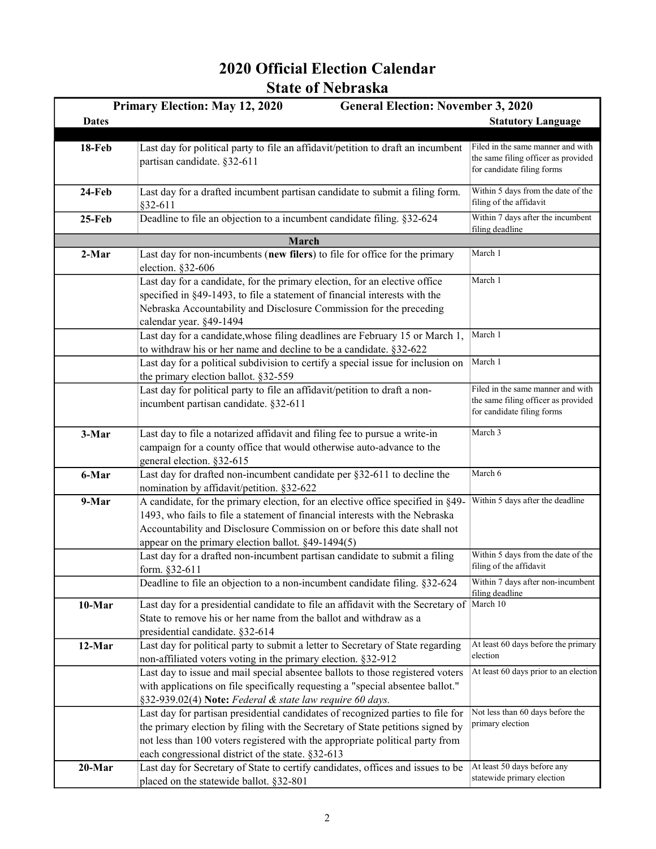|              | <b>Primary Election: May 12, 2020</b><br><b>General Election: November 3, 2020</b>                                                                                                                                                                                                                      |                                                                                                        |
|--------------|---------------------------------------------------------------------------------------------------------------------------------------------------------------------------------------------------------------------------------------------------------------------------------------------------------|--------------------------------------------------------------------------------------------------------|
| <b>Dates</b> |                                                                                                                                                                                                                                                                                                         | <b>Statutory Language</b>                                                                              |
|              |                                                                                                                                                                                                                                                                                                         |                                                                                                        |
| 18-Feb       | Last day for political party to file an affidavit/petition to draft an incumbent<br>partisan candidate. §32-611                                                                                                                                                                                         | Filed in the same manner and with<br>the same filing officer as provided<br>for candidate filing forms |
| $24$ -Feb    | Last day for a drafted incumbent partisan candidate to submit a filing form.<br>$§32-611$                                                                                                                                                                                                               | Within 5 days from the date of the<br>filing of the affidavit                                          |
| $25$ -Feb    | Deadline to file an objection to a incumbent candidate filing. §32-624                                                                                                                                                                                                                                  | Within 7 days after the incumbent<br>filing deadline                                                   |
|              | March                                                                                                                                                                                                                                                                                                   |                                                                                                        |
| 2-Mar        | Last day for non-incumbents (new filers) to file for office for the primary<br>election. §32-606                                                                                                                                                                                                        | March 1                                                                                                |
|              | Last day for a candidate, for the primary election, for an elective office<br>specified in §49-1493, to file a statement of financial interests with the<br>Nebraska Accountability and Disclosure Commission for the preceding<br>calendar year. §49-1494                                              | March 1                                                                                                |
|              | Last day for a candidate, whose filing deadlines are February 15 or March 1,<br>to withdraw his or her name and decline to be a candidate. §32-622                                                                                                                                                      | March 1                                                                                                |
|              | Last day for a political subdivision to certify a special issue for inclusion on<br>the primary election ballot. §32-559                                                                                                                                                                                | March 1                                                                                                |
|              | Last day for political party to file an affidavit/petition to draft a non-<br>incumbent partisan candidate. §32-611                                                                                                                                                                                     | Filed in the same manner and with<br>the same filing officer as provided<br>for candidate filing forms |
| 3-Mar        | Last day to file a notarized affidavit and filing fee to pursue a write-in<br>campaign for a county office that would otherwise auto-advance to the<br>general election. §32-615                                                                                                                        | March 3                                                                                                |
| 6-Mar        | Last day for drafted non-incumbent candidate per §32-611 to decline the<br>nomination by affidavit/petition. §32-622                                                                                                                                                                                    | March 6                                                                                                |
| 9-Mar        | A candidate, for the primary election, for an elective office specified in §49-<br>1493, who fails to file a statement of financial interests with the Nebraska<br>Accountability and Disclosure Commission on or before this date shall not<br>appear on the primary election ballot. §49-1494(5)      | Within 5 days after the deadline                                                                       |
|              | Last day for a drafted non-incumbent partisan candidate to submit a filing<br>form. §32-611                                                                                                                                                                                                             | Within 5 days from the date of the<br>filing of the affidavit                                          |
|              | Deadline to file an objection to a non-incumbent candidate filing. §32-624                                                                                                                                                                                                                              | Within 7 days after non-incumbent<br>filing deadline                                                   |
| $10-Mar$     | Last day for a presidential candidate to file an affidavit with the Secretary of March 10<br>State to remove his or her name from the ballot and withdraw as a<br>presidential candidate. §32-614                                                                                                       |                                                                                                        |
| 12-Mar       | Last day for political party to submit a letter to Secretary of State regarding<br>non-affiliated voters voting in the primary election. §32-912                                                                                                                                                        | At least 60 days before the primary<br>election                                                        |
|              | Last day to issue and mail special absentee ballots to those registered voters<br>with applications on file specifically requesting a "special absentee ballot."<br>§32-939.02(4) Note: Federal & state law require 60 days.                                                                            | At least 60 days prior to an election                                                                  |
|              | Last day for partisan presidential candidates of recognized parties to file for<br>the primary election by filing with the Secretary of State petitions signed by<br>not less than 100 voters registered with the appropriate political party from<br>each congressional district of the state. §32-613 | Not less than 60 days before the<br>primary election                                                   |
| $20$ -Mar    | Last day for Secretary of State to certify candidates, offices and issues to be<br>placed on the statewide ballot. §32-801                                                                                                                                                                              | At least 50 days before any<br>statewide primary election                                              |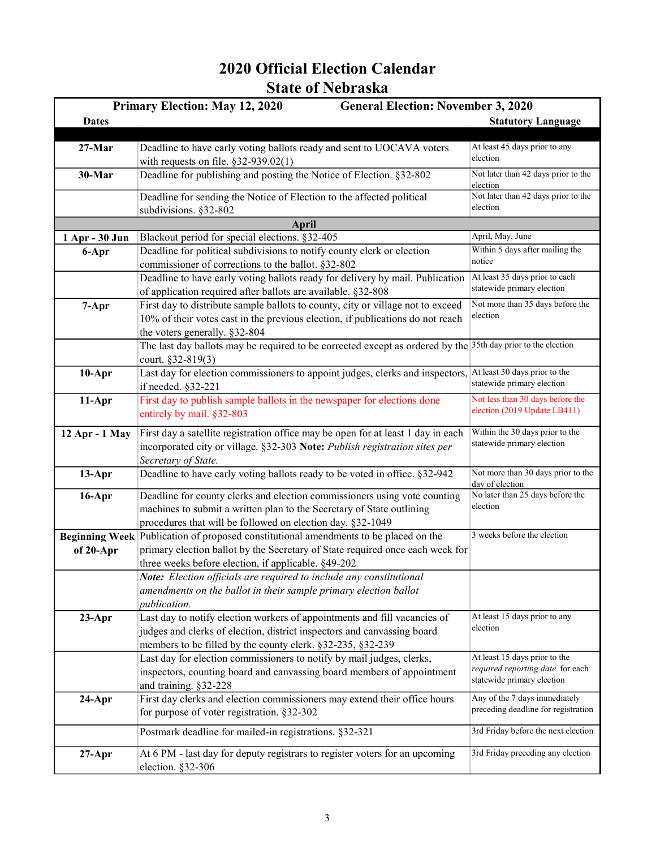|                | <b>Primary Election: May 12, 2020</b><br><b>General Election: November 3, 2020</b>                           |                                                                |
|----------------|--------------------------------------------------------------------------------------------------------------|----------------------------------------------------------------|
| <b>Dates</b>   |                                                                                                              | <b>Statutory Language</b>                                      |
|                |                                                                                                              |                                                                |
| $27-Mar$       | Deadline to have early voting ballots ready and sent to UOCAVA voters                                        | At least 45 days prior to any                                  |
|                | with requests on file. $§32-939.02(1)$                                                                       | election                                                       |
| 30-Mar         | Deadline for publishing and posting the Notice of Election. §32-802                                          | Not later than 42 days prior to the<br>election                |
|                | Deadline for sending the Notice of Election to the affected political                                        | Not later than 42 days prior to the                            |
|                | subdivisions. §32-802                                                                                        | election                                                       |
|                | April                                                                                                        |                                                                |
| 1 Apr - 30 Jun | Blackout period for special elections. §32-405                                                               | April, May, June                                               |
| 6-Apr          | Deadline for political subdivisions to notify county clerk or election                                       | Within 5 days after mailing the                                |
|                | commissioner of corrections to the ballot. §32-802                                                           | notice                                                         |
|                | Deadline to have early voting ballots ready for delivery by mail. Publication                                | At least 35 days prior to each<br>statewide primary election   |
|                | of application required after ballots are available. §32-808                                                 |                                                                |
| 7-Apr          | First day to distribute sample ballots to county, city or village not to exceed                              | Not more than 35 days before the<br>election                   |
|                | 10% of their votes cast in the previous election, if publications do not reach                               |                                                                |
|                | the voters generally. §32-804                                                                                |                                                                |
|                | The last day ballots may be required to be corrected except as ordered by the 35th day prior to the election |                                                                |
|                | court. §32-819(3)                                                                                            |                                                                |
| $10-Apr$       | Last day for election commissioners to appoint judges, clerks and inspectors, At least 30 days prior to the  | statewide primary election                                     |
|                | if needed. §32-221<br>First day to publish sample ballots in the newspaper for elections done                | Not less than 30 days before the                               |
| $11-Apr$       | entirely by mail. §32-803                                                                                    | election (2019 Update LB411)                                   |
|                |                                                                                                              |                                                                |
| 12 Apr - 1 May | First day a satellite registration office may be open for at least 1 day in each                             | Within the 30 days prior to the                                |
|                | incorporated city or village. §32-303 Note: Publish registration sites per                                   | statewide primary election                                     |
|                | Secretary of State.                                                                                          |                                                                |
| $13-Apr$       | Deadline to have early voting ballots ready to be voted in office. §32-942                                   | Not more than 30 days prior to the<br>day of election          |
| $16$ -Apr      | Deadline for county clerks and election commissioners using vote counting                                    | No later than 25 days before the                               |
|                | machines to submit a written plan to the Secretary of State outlining                                        | election                                                       |
|                | procedures that will be followed on election day. §32-1049                                                   |                                                                |
|                | Beginning Week Publication of proposed constitutional amendments to be placed on the                         | 3 weeks before the election                                    |
| of 20-Apr      | primary election ballot by the Secretary of State required once each week for                                |                                                                |
|                | three weeks before election, if applicable. §49-202                                                          |                                                                |
|                | Note: Election officials are required to include any constitutional                                          |                                                                |
|                | amendments on the ballot in their sample primary election ballot                                             |                                                                |
|                | <i>publication.</i>                                                                                          |                                                                |
| $23$ -Apr      | Last day to notify election workers of appointments and fill vacancies of                                    | At least 15 days prior to any                                  |
|                | judges and clerks of election, district inspectors and canvassing board                                      | election                                                       |
|                | members to be filled by the county clerk. §32-235, §32-239                                                   |                                                                |
|                | Last day for election commissioners to notify by mail judges, clerks,                                        | At least 15 days prior to the                                  |
|                | inspectors, counting board and canvassing board members of appointment                                       | required reporting date for each<br>statewide primary election |
|                | and training. §32-228                                                                                        |                                                                |
| $24-Apr$       | First day clerks and election commissioners may extend their office hours                                    | Any of the 7 days immediately                                  |
|                | for purpose of voter registration. §32-302                                                                   | preceding deadline for registration                            |
|                | Postmark deadline for mailed-in registrations. §32-321                                                       | 3rd Friday before the next election                            |
|                |                                                                                                              |                                                                |
| $27$ -Apr      | At 6 PM - last day for deputy registrars to register voters for an upcoming<br>election. §32-306             | 3rd Friday preceding any election                              |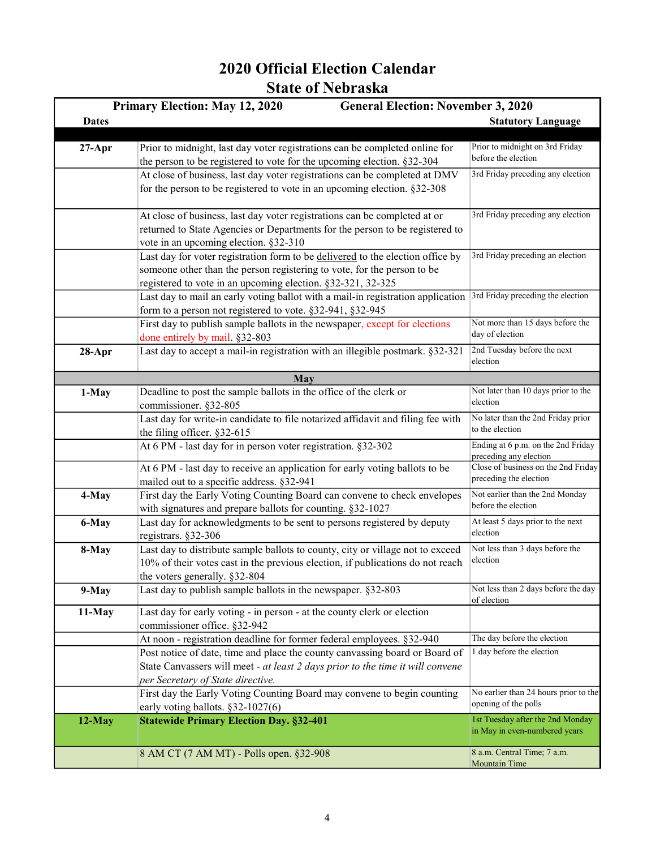|              | <b>Primary Election: May 12, 2020</b><br><b>General Election: November 3, 2020</b>                      |                                                     |
|--------------|---------------------------------------------------------------------------------------------------------|-----------------------------------------------------|
| <b>Dates</b> |                                                                                                         | <b>Statutory Language</b>                           |
|              |                                                                                                         |                                                     |
| $27$ -Apr    | Prior to midnight, last day voter registrations can be completed online for                             | Prior to midnight on 3rd Friday                     |
|              | the person to be registered to vote for the upcoming election. §32-304                                  | before the election                                 |
|              | At close of business, last day voter registrations can be completed at DMV                              | 3rd Friday preceding any election                   |
|              | for the person to be registered to vote in an upcoming election. §32-308                                |                                                     |
|              |                                                                                                         |                                                     |
|              | At close of business, last day voter registrations can be completed at or                               | 3rd Friday preceding any election                   |
|              | returned to State Agencies or Departments for the person to be registered to                            |                                                     |
|              | vote in an upcoming election. §32-310                                                                   |                                                     |
|              | Last day for voter registration form to be delivered to the election office by                          | 3rd Friday preceding an election                    |
|              | someone other than the person registering to vote, for the person to be                                 |                                                     |
|              | registered to vote in an upcoming election. §32-321, 32-325                                             |                                                     |
|              | Last day to mail an early voting ballot with a mail-in registration application                         | 3rd Friday preceding the election                   |
|              | form to a person not registered to vote. §32-941, §32-945                                               |                                                     |
|              | First day to publish sample ballots in the newspaper, except for elections                              | Not more than 15 days before the<br>day of election |
|              | done entirely by mail. §32-803                                                                          |                                                     |
| $28$ -Apr    | Last day to accept a mail-in registration with an illegible postmark. §32-321                           | 2nd Tuesday before the next<br>election             |
|              |                                                                                                         |                                                     |
|              | May                                                                                                     |                                                     |
| 1-May        | Deadline to post the sample ballots in the office of the clerk or                                       | Not later than 10 days prior to the<br>election     |
|              | commissioner. §32-805                                                                                   | No later than the 2nd Friday prior                  |
|              | Last day for write-in candidate to file notarized affidavit and filing fee with                         | to the election                                     |
|              | the filing officer. §32-615                                                                             | Ending at 6 p.m. on the 2nd Friday                  |
|              | At 6 PM - last day for in person voter registration. §32-302                                            | preceding any election                              |
|              | At 6 PM - last day to receive an application for early voting ballots to be                             | Close of business on the 2nd Friday                 |
|              | mailed out to a specific address. §32-941                                                               | preceding the election                              |
| 4-May        | First day the Early Voting Counting Board can convene to check envelopes                                | Not earlier than the 2nd Monday                     |
|              | with signatures and prepare ballots for counting. §32-1027                                              | before the election                                 |
| 6-May        | Last day for acknowledgments to be sent to persons registered by deputy                                 | At least 5 days prior to the next                   |
|              | registrars. §32-306                                                                                     | election                                            |
| 8-May        | Last day to distribute sample ballots to county, city or village not to exceed                          | Not less than 3 days before the                     |
|              | 10% of their votes cast in the previous election, if publications do not reach                          | election                                            |
|              | the voters generally. §32-804                                                                           |                                                     |
| 9-May        | Last day to publish sample ballots in the newspaper. §32-803                                            | Not less than 2 days before the day                 |
|              |                                                                                                         | of election                                         |
| 11-May       | Last day for early voting - in person - at the county clerk or election<br>commissioner office. §32-942 |                                                     |
|              | At noon - registration deadline for former federal employees. §32-940                                   | The day before the election                         |
|              | Post notice of date, time and place the county canvassing board or Board of                             | 1 day before the election                           |
|              | State Canvassers will meet - at least 2 days prior to the time it will convene                          |                                                     |
|              | per Secretary of State directive.                                                                       |                                                     |
|              | First day the Early Voting Counting Board may convene to begin counting                                 | No earlier than 24 hours prior to the               |
|              | early voting ballots. §32-1027(6)                                                                       | opening of the polls                                |
| $12-May$     | <b>Statewide Primary Election Day. §32-401</b>                                                          | 1st Tuesday after the 2nd Monday                    |
|              |                                                                                                         | in May in even-numbered years                       |
|              |                                                                                                         |                                                     |
|              | 8 AM CT (7 AM MT) - Polls open. §32-908                                                                 | 8 a.m. Central Time; 7 a.m.<br><b>Mountain Time</b> |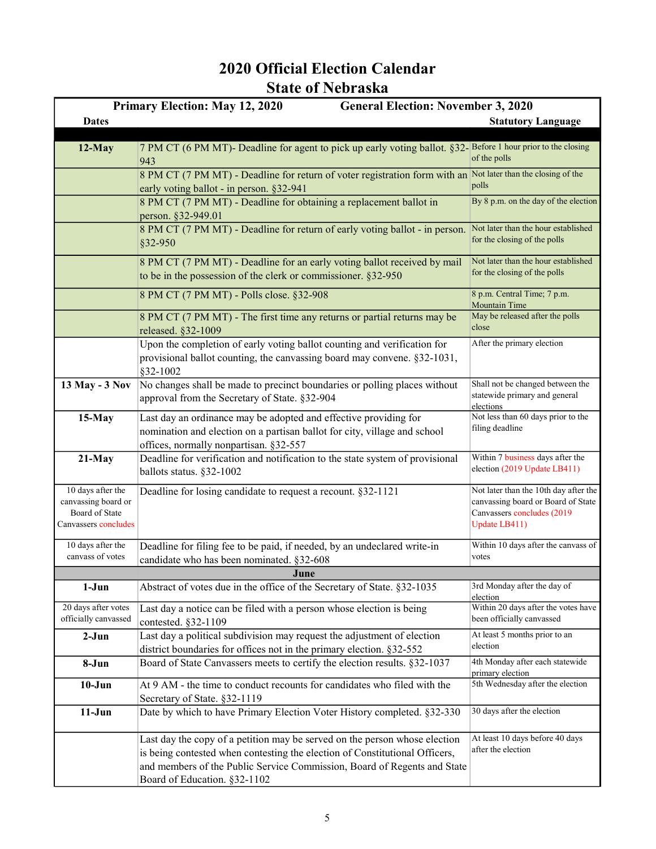| <b>Primary Election: May 12, 2020</b><br><b>General Election: November 3, 2020</b> |                                                                                                                                                                                                                                                                       |                                                                                                                            |
|------------------------------------------------------------------------------------|-----------------------------------------------------------------------------------------------------------------------------------------------------------------------------------------------------------------------------------------------------------------------|----------------------------------------------------------------------------------------------------------------------------|
| <b>Dates</b>                                                                       |                                                                                                                                                                                                                                                                       | <b>Statutory Language</b>                                                                                                  |
|                                                                                    |                                                                                                                                                                                                                                                                       |                                                                                                                            |
| $12$ -May                                                                          | 7 PM CT (6 PM MT)- Deadline for agent to pick up early voting ballot. §32- Before 1 hour prior to the closing<br>943                                                                                                                                                  | of the polls                                                                                                               |
|                                                                                    | 8 PM CT (7 PM MT) - Deadline for return of voter registration form with an Not later than the closing of the<br>early voting ballot - in person. §32-941                                                                                                              | polls                                                                                                                      |
|                                                                                    | 8 PM CT (7 PM MT) - Deadline for obtaining a replacement ballot in<br>person. §32-949.01                                                                                                                                                                              | By 8 p.m. on the day of the election                                                                                       |
|                                                                                    | 8 PM CT (7 PM MT) - Deadline for return of early voting ballot - in person.<br>§32-950                                                                                                                                                                                | Not later than the hour established<br>for the closing of the polls                                                        |
|                                                                                    | 8 PM CT (7 PM MT) - Deadline for an early voting ballot received by mail<br>to be in the possession of the clerk or commissioner. $§$ 32-950                                                                                                                          | Not later than the hour established<br>for the closing of the polls                                                        |
|                                                                                    | 8 PM CT (7 PM MT) - Polls close. §32-908                                                                                                                                                                                                                              | 8 p.m. Central Time; 7 p.m.<br><b>Mountain Time</b>                                                                        |
|                                                                                    | 8 PM CT (7 PM MT) - The first time any returns or partial returns may be<br>released. §32-1009                                                                                                                                                                        | May be released after the polls<br>close                                                                                   |
|                                                                                    | Upon the completion of early voting ballot counting and verification for<br>provisional ballot counting, the canvassing board may convene. §32-1031,<br>§32-1002                                                                                                      | After the primary election                                                                                                 |
| 13 May - 3 Nov                                                                     | No changes shall be made to precinct boundaries or polling places without<br>approval from the Secretary of State. §32-904                                                                                                                                            | Shall not be changed between the<br>statewide primary and general<br>elections                                             |
| $15-May$                                                                           | Last day an ordinance may be adopted and effective providing for<br>nomination and election on a partisan ballot for city, village and school<br>offices, normally nonpartisan. §32-557                                                                               | Not less than 60 days prior to the<br>filing deadline                                                                      |
| $21-May$                                                                           | Deadline for verification and notification to the state system of provisional<br>ballots status. §32-1002                                                                                                                                                             | Within 7 business days after the<br>election (2019 Update LB411)                                                           |
| 10 days after the<br>canvassing board or<br>Board of State<br>Canvassers concludes | Deadline for losing candidate to request a recount. §32-1121                                                                                                                                                                                                          | Not later than the 10th day after the<br>canvassing board or Board of State<br>Canvassers concludes (2019<br>Update LB411) |
| 10 days after the<br>canvass of votes                                              | Deadline for filing fee to be paid, if needed, by an undeclared write-in<br>candidate who has been nominated. §32-608                                                                                                                                                 | Within 10 days after the canvass of<br>votes                                                                               |
|                                                                                    | June                                                                                                                                                                                                                                                                  |                                                                                                                            |
| $1-Jun$                                                                            | Abstract of votes due in the office of the Secretary of State. §32-1035                                                                                                                                                                                               | 3rd Monday after the day of<br>election                                                                                    |
| 20 days after votes<br>officially canvassed                                        | Last day a notice can be filed with a person whose election is being<br>contested. §32-1109                                                                                                                                                                           | Within 20 days after the votes have<br>been officially canvassed                                                           |
| $2-Jun$                                                                            | Last day a political subdivision may request the adjustment of election<br>district boundaries for offices not in the primary election. §32-552                                                                                                                       | At least 5 months prior to an<br>election                                                                                  |
| 8-Jun                                                                              | Board of State Canvassers meets to certify the election results. §32-1037                                                                                                                                                                                             | 4th Monday after each statewide<br>primary election                                                                        |
| $10-J$ un                                                                          | At 9 AM - the time to conduct recounts for candidates who filed with the<br>Secretary of State. §32-1119                                                                                                                                                              | 5th Wednesday after the election                                                                                           |
| $11-Jun$                                                                           | Date by which to have Primary Election Voter History completed. §32-330                                                                                                                                                                                               | 30 days after the election                                                                                                 |
|                                                                                    | Last day the copy of a petition may be served on the person whose election<br>is being contested when contesting the election of Constitutional Officers,<br>and members of the Public Service Commission, Board of Regents and State<br>Board of Education. §32-1102 | At least 10 days before 40 days<br>after the election                                                                      |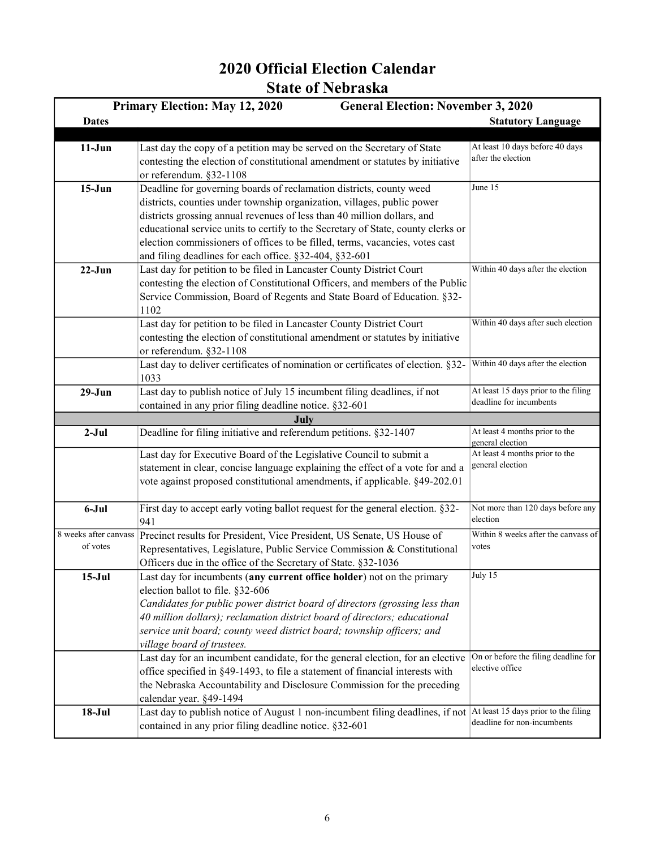|                                   | <b>Primary Election: May 12, 2020</b><br><b>General Election: November 3, 2020</b>                                                         |                                                         |
|-----------------------------------|--------------------------------------------------------------------------------------------------------------------------------------------|---------------------------------------------------------|
| <b>Dates</b>                      |                                                                                                                                            | <b>Statutory Language</b>                               |
| $11-J$ un                         | Last day the copy of a petition may be served on the Secretary of State                                                                    | At least 10 days before 40 days                         |
|                                   | contesting the election of constitutional amendment or statutes by initiative                                                              | after the election                                      |
|                                   | or referendum. §32-1108                                                                                                                    |                                                         |
| $15-Jun$                          | Deadline for governing boards of reclamation districts, county weed                                                                        | June 15                                                 |
|                                   | districts, counties under township organization, villages, public power                                                                    |                                                         |
|                                   | districts grossing annual revenues of less than 40 million dollars, and                                                                    |                                                         |
|                                   | educational service units to certify to the Secretary of State, county clerks or                                                           |                                                         |
|                                   | election commissioners of offices to be filled, terms, vacancies, votes cast                                                               |                                                         |
| $22-Jun$                          | and filing deadlines for each office. §32-404, §32-601<br>Last day for petition to be filed in Lancaster County District Court             | Within 40 days after the election                       |
|                                   | contesting the election of Constitutional Officers, and members of the Public                                                              |                                                         |
|                                   | Service Commission, Board of Regents and State Board of Education. §32-                                                                    |                                                         |
|                                   | 1102                                                                                                                                       |                                                         |
|                                   | Last day for petition to be filed in Lancaster County District Court                                                                       | Within 40 days after such election                      |
|                                   | contesting the election of constitutional amendment or statutes by initiative                                                              |                                                         |
|                                   | or referendum. §32-1108                                                                                                                    |                                                         |
|                                   | Last day to deliver certificates of nomination or certificates of election. §32-                                                           | Within 40 days after the election                       |
| $29-Jun$                          | 1033<br>Last day to publish notice of July 15 incumbent filing deadlines, if not                                                           | At least 15 days prior to the filing                    |
|                                   | contained in any prior filing deadline notice. §32-601                                                                                     | deadline for incumbents                                 |
|                                   | July                                                                                                                                       |                                                         |
| $2-Jul$                           | Deadline for filing initiative and referendum petitions. §32-1407                                                                          | At least 4 months prior to the                          |
|                                   | Last day for Executive Board of the Legislative Council to submit a                                                                        | general election<br>At least 4 months prior to the      |
|                                   | statement in clear, concise language explaining the effect of a vote for and a                                                             | general election                                        |
|                                   | vote against proposed constitutional amendments, if applicable. §49-202.01                                                                 |                                                         |
|                                   |                                                                                                                                            |                                                         |
| $6-Jul$                           | First day to accept early voting ballot request for the general election. §32-                                                             | Not more than 120 days before any                       |
|                                   | 941                                                                                                                                        | election                                                |
| 8 weeks after canvass<br>of votes | Precinct results for President, Vice President, US Senate, US House of                                                                     | Within $8$ weeks after the canvass of<br>votes          |
|                                   | Representatives, Legislature, Public Service Commission & Constitutional<br>Officers due in the office of the Secretary of State. §32-1036 |                                                         |
| $15-Jul$                          | Last day for incumbents (any current office holder) not on the primary                                                                     | July 15                                                 |
|                                   | election ballot to file. §32-606                                                                                                           |                                                         |
|                                   | Candidates for public power district board of directors (grossing less than                                                                |                                                         |
|                                   | 40 million dollars); reclamation district board of directors; educational                                                                  |                                                         |
|                                   | service unit board; county weed district board; township officers; and                                                                     |                                                         |
|                                   | village board of trustees.                                                                                                                 |                                                         |
|                                   | Last day for an incumbent candidate, for the general election, for an elective                                                             | On or before the filing deadline for<br>elective office |
|                                   | office specified in §49-1493, to file a statement of financial interests with                                                              |                                                         |
|                                   | the Nebraska Accountability and Disclosure Commission for the preceding<br>calendar year. §49-1494                                         |                                                         |
| $18-Jul$                          | Last day to publish notice of August 1 non-incumbent filing deadlines, if not At least 15 days prior to the filing                         |                                                         |
|                                   | contained in any prior filing deadline notice. §32-601                                                                                     | deadline for non-incumbents                             |
|                                   |                                                                                                                                            |                                                         |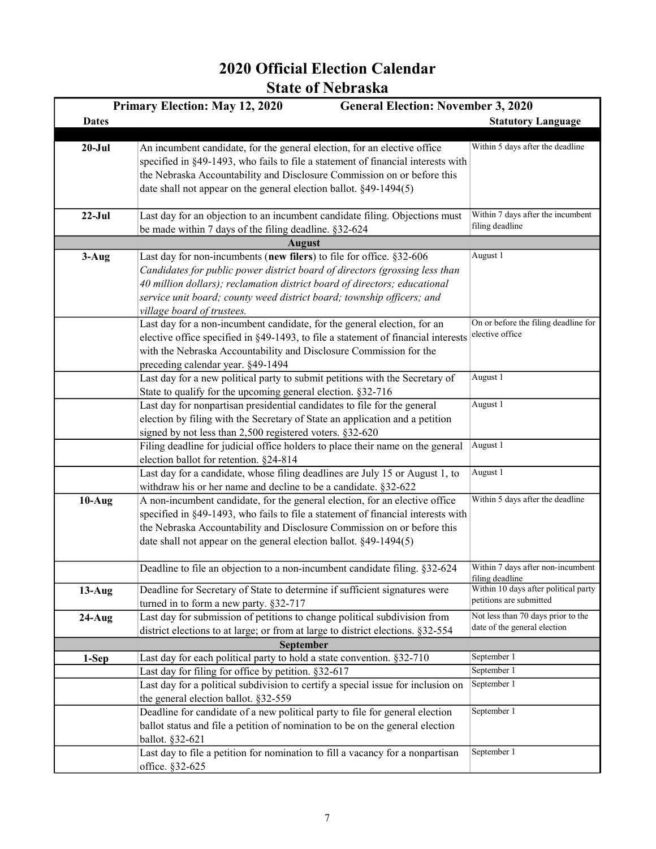|              | <b>Primary Election: May 12, 2020</b><br><b>General Election: November 3, 2020</b>    |                                                         |
|--------------|---------------------------------------------------------------------------------------|---------------------------------------------------------|
| <b>Dates</b> |                                                                                       | <b>Statutory Language</b>                               |
|              |                                                                                       |                                                         |
| $20 - Jul$   | An incumbent candidate, for the general election, for an elective office              | Within 5 days after the deadline                        |
|              | specified in §49-1493, who fails to file a statement of financial interests with      |                                                         |
|              | the Nebraska Accountability and Disclosure Commission on or before this               |                                                         |
|              | date shall not appear on the general election ballot. §49-1494(5)                     |                                                         |
|              |                                                                                       |                                                         |
| $22-Jul$     | Last day for an objection to an incumbent candidate filing. Objections must           | Within 7 days after the incumbent<br>filing deadline    |
|              | be made within 7 days of the filing deadline. §32-624                                 |                                                         |
|              | <b>August</b><br>Last day for non-incumbents (new filers) to file for office. §32-606 | August 1                                                |
| $3-Aug$      | Candidates for public power district board of directors (grossing less than           |                                                         |
|              | 40 million dollars); reclamation district board of directors; educational             |                                                         |
|              | service unit board; county weed district board; township officers; and                |                                                         |
|              | village board of trustees.                                                            |                                                         |
|              | Last day for a non-incumbent candidate, for the general election, for an              | On or before the filing deadline for                    |
|              | elective office specified in §49-1493, to file a statement of financial interests     | elective office                                         |
|              | with the Nebraska Accountability and Disclosure Commission for the                    |                                                         |
|              | preceding calendar year. §49-1494                                                     |                                                         |
|              | Last day for a new political party to submit petitions with the Secretary of          | August 1                                                |
|              | State to qualify for the upcoming general election. §32-716                           |                                                         |
|              | Last day for nonpartisan presidential candidates to file for the general              | August 1                                                |
|              | election by filing with the Secretary of State an application and a petition          |                                                         |
|              | signed by not less than 2,500 registered voters. §32-620                              |                                                         |
|              | Filing deadline for judicial office holders to place their name on the general        | August 1                                                |
|              | election ballot for retention. §24-814                                                |                                                         |
|              | Last day for a candidate, whose filing deadlines are July 15 or August 1, to          | August 1                                                |
|              | withdraw his or her name and decline to be a candidate. §32-622                       |                                                         |
| $10-Aug$     | A non-incumbent candidate, for the general election, for an elective office           | Within 5 days after the deadline                        |
|              | specified in §49-1493, who fails to file a statement of financial interests with      |                                                         |
|              | the Nebraska Accountability and Disclosure Commission on or before this               |                                                         |
|              | date shall not appear on the general election ballot. §49-1494(5)                     |                                                         |
|              |                                                                                       |                                                         |
|              | Deadline to file an objection to a non-incumbent candidate filing. §32-624            | Within 7 days after non-incumbent                       |
|              |                                                                                       | filing deadline<br>Within 10 days after political party |
| $13-Aug$     | Deadline for Secretary of State to determine if sufficient signatures were            | petitions are submitted                                 |
|              | turned in to form a new party. §32-717                                                | Not less than 70 days prior to the                      |
| $24-Aug$     | Last day for submission of petitions to change political subdivision from             | date of the general election                            |
|              | district elections to at large; or from at large to district elections. §32-554       |                                                         |
|              | September<br>Last day for each political party to hold a state convention. §32-710    | September 1                                             |
| 1-Sep        | Last day for filing for office by petition. §32-617                                   | September 1                                             |
|              | Last day for a political subdivision to certify a special issue for inclusion on      | September 1                                             |
|              | the general election ballot. §32-559                                                  |                                                         |
|              | Deadline for candidate of a new political party to file for general election          | September 1                                             |
|              | ballot status and file a petition of nomination to be on the general election         |                                                         |
|              | ballot. §32-621                                                                       |                                                         |
|              | Last day to file a petition for nomination to fill a vacancy for a nonpartisan        | September 1                                             |
|              | office. §32-625                                                                       |                                                         |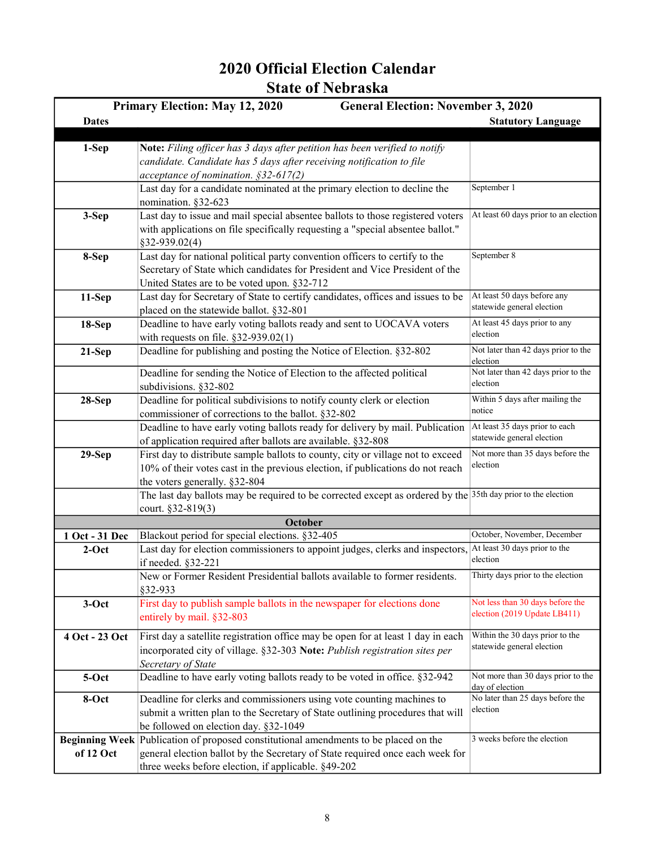|                                    | <b>Primary Election: May 12, 2020</b><br><b>General Election: November 3, 2020</b>                             |                                                              |
|------------------------------------|----------------------------------------------------------------------------------------------------------------|--------------------------------------------------------------|
| <b>Dates</b>                       |                                                                                                                | <b>Statutory Language</b>                                    |
|                                    |                                                                                                                |                                                              |
| 1-Sep                              | Note: Filing officer has 3 days after petition has been verified to notify                                     |                                                              |
|                                    | candidate. Candidate has 5 days after receiving notification to file                                           |                                                              |
|                                    | acceptance of nomination. $$32-617(2)$                                                                         |                                                              |
|                                    | Last day for a candidate nominated at the primary election to decline the                                      | September 1                                                  |
|                                    | nomination. §32-623                                                                                            |                                                              |
| 3-Sep                              | Last day to issue and mail special absentee ballots to those registered voters                                 | At least 60 days prior to an election                        |
|                                    | with applications on file specifically requesting a "special absentee ballot."                                 |                                                              |
|                                    | §32-939.02(4)                                                                                                  |                                                              |
| 8-Sep                              | Last day for national political party convention officers to certify to the                                    | September 8                                                  |
|                                    | Secretary of State which candidates for President and Vice President of the                                    |                                                              |
|                                    | United States are to be voted upon. §32-712                                                                    |                                                              |
| 11-Sep                             | Last day for Secretary of State to certify candidates, offices and issues to be                                | At least 50 days before any                                  |
|                                    | placed on the statewide ballot. §32-801                                                                        | statewide general election                                   |
| $18-Sep$                           | Deadline to have early voting ballots ready and sent to UOCAVA voters                                          | At least 45 days prior to any                                |
|                                    | with requests on file. $§32-939.02(1)$                                                                         | election                                                     |
| $21-Sep$                           | Deadline for publishing and posting the Notice of Election. §32-802                                            | Not later than 42 days prior to the                          |
|                                    |                                                                                                                | election                                                     |
|                                    | Deadline for sending the Notice of Election to the affected political                                          | Not later than 42 days prior to the<br>election              |
|                                    | subdivisions. §32-802                                                                                          |                                                              |
| $28-Sep$                           | Deadline for political subdivisions to notify county clerk or election                                         | Within 5 days after mailing the<br>notice                    |
|                                    | commissioner of corrections to the ballot. §32-802                                                             |                                                              |
|                                    | Deadline to have early voting ballots ready for delivery by mail. Publication                                  | At least 35 days prior to each<br>statewide general election |
|                                    | of application required after ballots are available. §32-808                                                   |                                                              |
| $29-Sep$                           | First day to distribute sample ballots to county, city or village not to exceed                                | Not more than 35 days before the<br>election                 |
|                                    | 10% of their votes cast in the previous election, if publications do not reach                                 |                                                              |
|                                    | the voters generally. §32-804                                                                                  |                                                              |
|                                    | The last day ballots may be required to be corrected except as ordered by the $35th$ day prior to the election |                                                              |
|                                    | court. §32-819(3)                                                                                              |                                                              |
|                                    | October                                                                                                        |                                                              |
| 1 Oct - 31 Dec                     | Blackout period for special elections. §32-405                                                                 | October, November, December                                  |
| $2-Oct$                            | Last day for election commissioners to appoint judges, clerks and inspectors,                                  | At least 30 days prior to the<br>election                    |
|                                    | if needed. §32-221                                                                                             |                                                              |
|                                    | New or Former Resident Presidential ballots available to former residents.                                     | Thirty days prior to the election                            |
|                                    | §32-933                                                                                                        | Not less than 30 days before the                             |
| $3-Oct$                            | First day to publish sample ballots in the newspaper for elections done                                        | election (2019 Update LB411)                                 |
|                                    | entirely by mail. §32-803                                                                                      |                                                              |
| 4 Oct - 23 Oct                     | First day a satellite registration office may be open for at least 1 day in each                               | Within the 30 days prior to the                              |
|                                    | incorporated city of village. §32-303 Note: Publish registration sites per                                     | statewide general election                                   |
|                                    | Secretary of State                                                                                             |                                                              |
| 5-Oct                              | Deadline to have early voting ballots ready to be voted in office. §32-942                                     | Not more than 30 days prior to the                           |
| 8-Oct                              | Deadline for clerks and commissioners using vote counting machines to                                          | day of election<br>No later than 25 days before the          |
|                                    | submit a written plan to the Secretary of State outlining procedures that will                                 | election                                                     |
|                                    | be followed on election day. §32-1049                                                                          |                                                              |
|                                    | Publication of proposed constitutional amendments to be placed on the                                          | 3 weeks before the election                                  |
| <b>Beginning Week</b><br>of 12 Oct | general election ballot by the Secretary of State required once each week for                                  |                                                              |
|                                    |                                                                                                                |                                                              |
|                                    | three weeks before election, if applicable. §49-202                                                            |                                                              |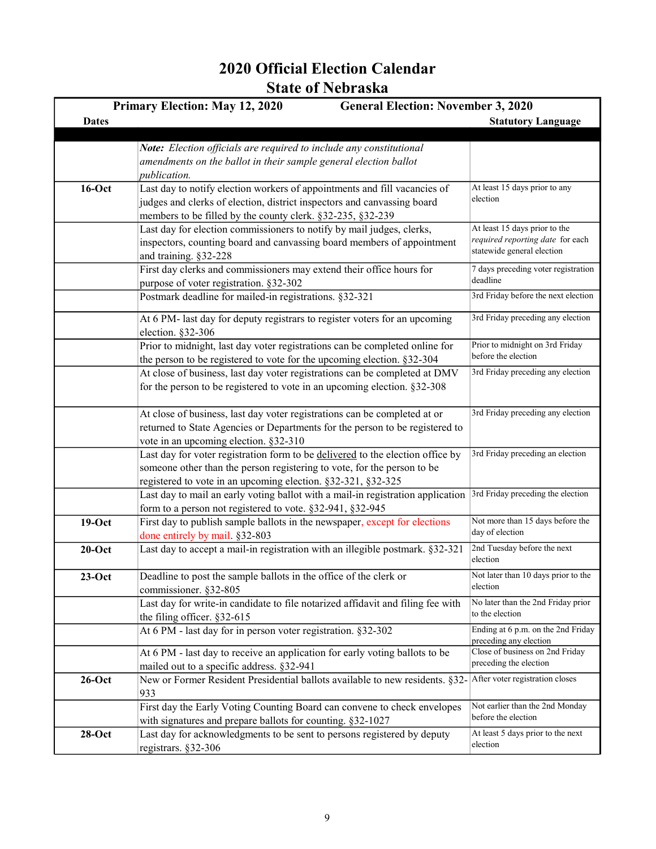|              | <b>General Election: November 3, 2020</b><br><b>Primary Election: May 12, 2020</b>                                  |                                                                   |
|--------------|---------------------------------------------------------------------------------------------------------------------|-------------------------------------------------------------------|
| <b>Dates</b> |                                                                                                                     | <b>Statutory Language</b>                                         |
|              |                                                                                                                     |                                                                   |
|              | Note: Election officials are required to include any constitutional                                                 |                                                                   |
|              | amendments on the ballot in their sample general election ballot                                                    |                                                                   |
|              | <i>publication.</i>                                                                                                 |                                                                   |
| $16-Oct$     | Last day to notify election workers of appointments and fill vacancies of                                           | At least 15 days prior to any                                     |
|              | judges and clerks of election, district inspectors and canvassing board                                             | election                                                          |
|              | members to be filled by the county clerk. §32-235, §32-239                                                          |                                                                   |
|              | Last day for election commissioners to notify by mail judges, clerks,                                               | At least 15 days prior to the<br>required reporting date for each |
|              | inspectors, counting board and canvassing board members of appointment                                              | statewide general election                                        |
|              | and training. §32-228                                                                                               |                                                                   |
|              | First day clerks and commissioners may extend their office hours for                                                | 7 days preceding voter registration<br>deadline                   |
|              | purpose of voter registration. §32-302                                                                              |                                                                   |
|              | Postmark deadline for mailed-in registrations. §32-321                                                              | 3rd Friday before the next election                               |
|              | At 6 PM- last day for deputy registrars to register voters for an upcoming                                          | 3rd Friday preceding any election                                 |
|              | election. §32-306                                                                                                   |                                                                   |
|              | Prior to midnight, last day voter registrations can be completed online for                                         | Prior to midnight on 3rd Friday                                   |
|              | the person to be registered to vote for the upcoming election. §32-304                                              | before the election                                               |
|              | At close of business, last day voter registrations can be completed at DMV                                          | 3rd Friday preceding any election                                 |
|              | for the person to be registered to vote in an upcoming election. §32-308                                            |                                                                   |
|              | At close of business, last day voter registrations can be completed at or                                           | 3rd Friday preceding any election                                 |
|              | returned to State Agencies or Departments for the person to be registered to                                        |                                                                   |
|              | vote in an upcoming election. §32-310                                                                               |                                                                   |
|              | Last day for voter registration form to be delivered to the election office by                                      | 3rd Friday preceding an election                                  |
|              | someone other than the person registering to vote, for the person to be                                             |                                                                   |
|              | registered to vote in an upcoming election. §32-321, §32-325                                                        |                                                                   |
|              | Last day to mail an early voting ballot with a mail-in registration application                                     | 3rd Friday preceding the election                                 |
|              | form to a person not registered to vote. §32-941, §32-945                                                           |                                                                   |
| $19-Oct$     | First day to publish sample ballots in the newspaper, except for elections                                          | Not more than 15 days before the                                  |
|              | done entirely by mail. §32-803                                                                                      | day of election                                                   |
| $20$ -Oct    | Last day to accept a mail-in registration with an illegible postmark. §32-321                                       | 2nd Tuesday before the next<br>election                           |
| $23-Oct$     | Deadline to post the sample ballots in the office of the clerk or                                                   | Not later than 10 days prior to the                               |
|              | commissioner. §32-805                                                                                               | election                                                          |
|              | Last day for write-in candidate to file notarized affidavit and filing fee with                                     | No later than the 2nd Friday prior                                |
|              | the filing officer. $§32-615$                                                                                       | to the election                                                   |
|              | At 6 PM - last day for in person voter registration. §32-302                                                        | Ending at 6 p.m. on the 2nd Friday                                |
|              |                                                                                                                     | preceding any election                                            |
|              | At 6 PM - last day to receive an application for early voting ballots to be                                         | Close of business on 2nd Friday<br>preceding the election         |
|              | mailed out to a specific address. §32-941                                                                           |                                                                   |
| $26$ -Oct    | New or Former Resident Presidential ballots available to new residents. §32- After voter registration closes<br>933 |                                                                   |
|              | First day the Early Voting Counting Board can convene to check envelopes                                            | Not earlier than the 2nd Monday                                   |
|              | with signatures and prepare ballots for counting. §32-1027                                                          | before the election                                               |
| $28-Oct$     | Last day for acknowledgments to be sent to persons registered by deputy                                             | At least 5 days prior to the next                                 |
|              | registrars. §32-306                                                                                                 | election                                                          |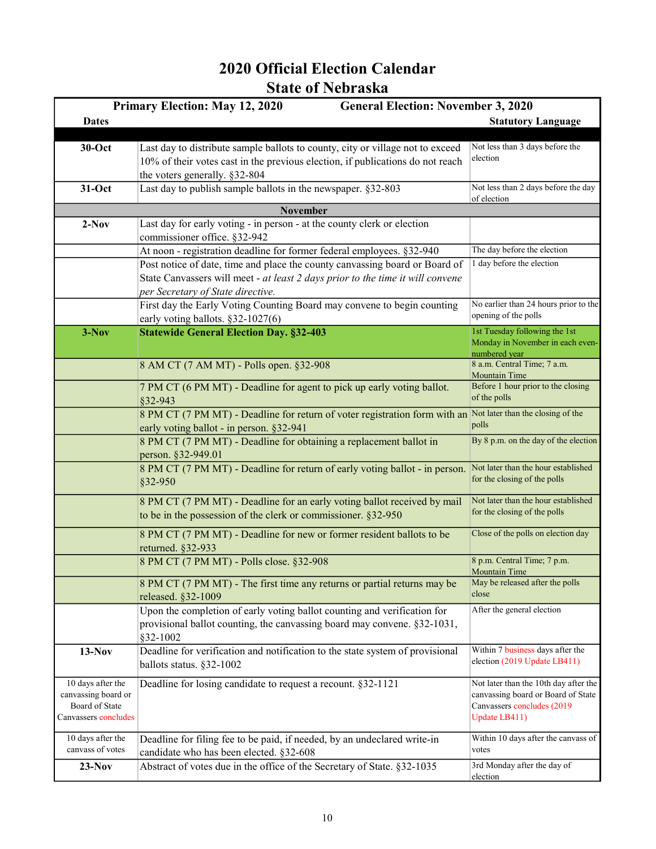|                                          | <b>Primary Election: May 12, 2020</b><br><b>General Election: November 3, 2020</b>                                                                   |                                                                             |
|------------------------------------------|------------------------------------------------------------------------------------------------------------------------------------------------------|-----------------------------------------------------------------------------|
| <b>Dates</b>                             |                                                                                                                                                      | <b>Statutory Language</b>                                                   |
|                                          |                                                                                                                                                      |                                                                             |
| 30-Oct                                   | Last day to distribute sample ballots to county, city or village not to exceed                                                                       | Not less than 3 days before the                                             |
|                                          | 10% of their votes cast in the previous election, if publications do not reach                                                                       | election                                                                    |
|                                          | the voters generally. §32-804                                                                                                                        |                                                                             |
| 31-Oct                                   | Last day to publish sample ballots in the newspaper. §32-803                                                                                         | Not less than 2 days before the day<br>of election                          |
|                                          | <b>November</b>                                                                                                                                      |                                                                             |
| $2-Nov$                                  | Last day for early voting - in person - at the county clerk or election                                                                              |                                                                             |
|                                          | commissioner office. §32-942                                                                                                                         |                                                                             |
|                                          | At noon - registration deadline for former federal employees. §32-940                                                                                | The day before the election                                                 |
|                                          | Post notice of date, time and place the county canvassing board or Board of                                                                          | 1 day before the election                                                   |
|                                          | State Canvassers will meet - at least 2 days prior to the time it will convene                                                                       |                                                                             |
|                                          | per Secretary of State directive.                                                                                                                    |                                                                             |
|                                          | First day the Early Voting Counting Board may convene to begin counting                                                                              | No earlier than 24 hours prior to the                                       |
|                                          | early voting ballots. §32-1027(6)                                                                                                                    | opening of the polls                                                        |
| $3-Nov$                                  | <b>Statewide General Election Day. §32-403</b>                                                                                                       | 1st Tuesday following the 1st                                               |
|                                          |                                                                                                                                                      | Monday in November in each even-<br>numbered year                           |
|                                          | 8 AM CT (7 AM MT) - Polls open. §32-908                                                                                                              | 8 a.m. Central Time; 7 a.m.                                                 |
|                                          |                                                                                                                                                      | <b>Mountain Time</b>                                                        |
|                                          | 7 PM CT (6 PM MT) - Deadline for agent to pick up early voting ballot.                                                                               | Before 1 hour prior to the closing<br>of the polls                          |
|                                          | §32-943                                                                                                                                              |                                                                             |
|                                          | 8 PM CT (7 PM MT) - Deadline for return of voter registration form with an Not later than the closing of the                                         | polls                                                                       |
|                                          | early voting ballot - in person. §32-941                                                                                                             |                                                                             |
|                                          | 8 PM CT (7 PM MT) - Deadline for obtaining a replacement ballot in                                                                                   | By 8 p.m. on the day of the election                                        |
|                                          | person. §32-949.01<br>8 PM CT (7 PM MT) - Deadline for return of early voting ballot - in person.                                                    | Not later than the hour established                                         |
|                                          | $§32-950$                                                                                                                                            | for the closing of the polls                                                |
|                                          |                                                                                                                                                      |                                                                             |
|                                          | 8 PM CT (7 PM MT) - Deadline for an early voting ballot received by mail                                                                             | Not later than the hour established                                         |
|                                          | to be in the possession of the clerk or commissioner. §32-950                                                                                        | for the closing of the polls                                                |
|                                          | 8 PM CT (7 PM MT) - Deadline for new or former resident ballots to be                                                                                | Close of the polls on election day                                          |
|                                          | returned. §32-933                                                                                                                                    |                                                                             |
|                                          | 8 PM CT (7 PM MT) - Polls close. §32-908                                                                                                             | 8 p.m. Central Time; 7 p.m.                                                 |
|                                          |                                                                                                                                                      | Mountain Time                                                               |
|                                          | 8 PM CT (7 PM MT) - The first time any returns or partial returns may be                                                                             | May be released after the polls<br>close                                    |
|                                          | released. §32-1009                                                                                                                                   | After the general election                                                  |
|                                          | Upon the completion of early voting ballot counting and verification for<br>provisional ballot counting, the canvassing board may convene. §32-1031, |                                                                             |
|                                          | §32-1002                                                                                                                                             |                                                                             |
| $13-Nov$                                 | Deadline for verification and notification to the state system of provisional                                                                        | Within 7 business days after the                                            |
|                                          | ballots status. §32-1002                                                                                                                             | election (2019 Update LB411)                                                |
|                                          |                                                                                                                                                      |                                                                             |
| 10 days after the<br>canvassing board or | Deadline for losing candidate to request a recount. §32-1121                                                                                         | Not later than the 10th day after the<br>canvassing board or Board of State |
| Board of State                           |                                                                                                                                                      | Canvassers concludes (2019                                                  |
| Canvassers concludes                     |                                                                                                                                                      | Update LB411)                                                               |
|                                          |                                                                                                                                                      |                                                                             |
| 10 days after the<br>canvass of votes    | Deadline for filing fee to be paid, if needed, by an undeclared write-in                                                                             | Within 10 days after the canvass of<br>votes                                |
|                                          | candidate who has been elected. §32-608<br>Abstract of votes due in the office of the Secretary of State. §32-1035                                   | 3rd Monday after the day of                                                 |
| $23-Nov$                                 |                                                                                                                                                      | election                                                                    |